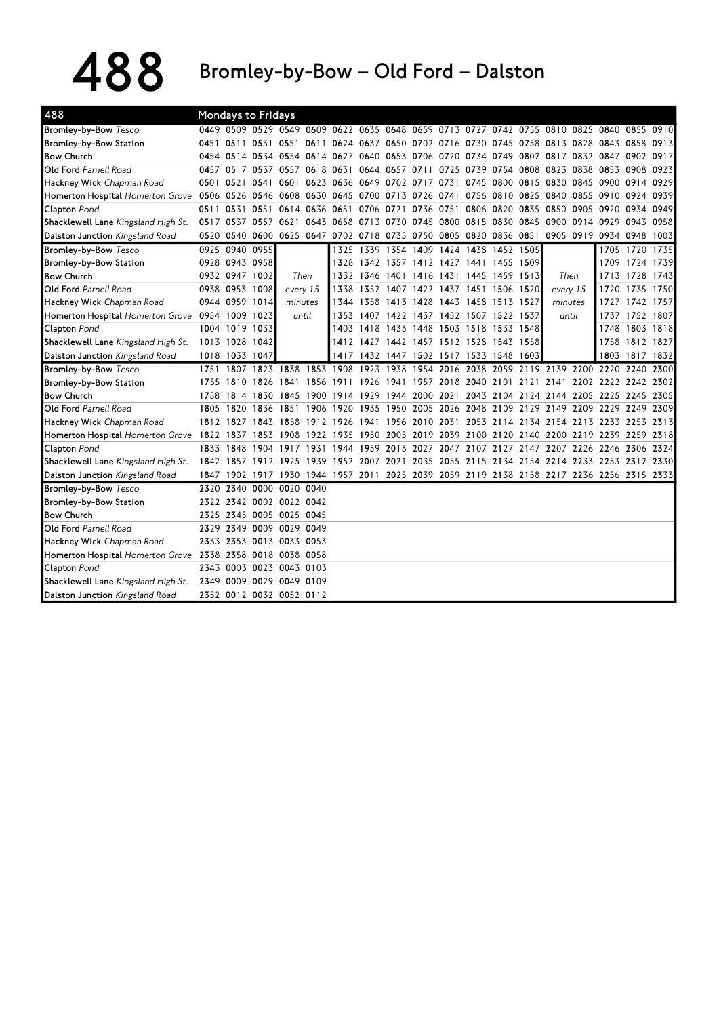488 Bromley-by-Bow – Old Ford – Dalston

| 488                                                       |      |                | <b>Mondays to Fridays</b> |           |                     |           |                                                                  |           |      |      |                     |                |           |                          |                                                                                           |                |      |
|-----------------------------------------------------------|------|----------------|---------------------------|-----------|---------------------|-----------|------------------------------------------------------------------|-----------|------|------|---------------------|----------------|-----------|--------------------------|-------------------------------------------------------------------------------------------|----------------|------|
| <b>Bromley-by-Bow Tesco</b>                               |      |                |                           |           |                     |           |                                                                  |           |      |      |                     |                |           |                          | 0449 0509 0529 0549 0609 0622 0635 0648 0659 0713 0727 0742 0755 0810 0825 0840 0855 0910 |                |      |
| Bromley-by-Bow Station                                    |      |                | 0451 0511 0531 0551 0611  |           |                     |           | 0624 0637 0650 0702 0716 0730 0745 0758                          |           |      |      |                     |                |           |                          | 0813 0828 0843 0858 0913                                                                  |                |      |
| <b>Bow Church</b>                                         |      |                |                           |           |                     |           | 0454 0514 0534 0554 0614 0627 0640 0653 0706                     |           |      |      | 0720 0734           | 0749           | 0802 0817 |                          | 0832 0847 0902 0917                                                                       |                |      |
| Old Ford Parnell Road                                     |      | 0457 0517      | 0537                      | 0557      | 0618                | 0631      | 0644                                                             | 0657 0711 |      | 0725 | 0739                | 0754           | 0808      | 0823                     | 0838 0853 0908 0923                                                                       |                |      |
| Hackney Wick Chapman Road                                 |      | 0501 0521      | 0541                      | 0601      | 0623                |           | 0636 0649 0702 0717                                              |           |      | 0731 | 0745                | 0800           | 0815      | 0830                     | 0845 0900 0914 0929                                                                       |                |      |
| Homerton Hospital Homerton Grove 0506 0526 0546 0608 0630 |      |                |                           |           |                     |           | 0645 0700 0713 0726                                              |           |      | 0741 |                     | 0756 0810 0825 |           | 0840                     | 0855 0910 0924 0939                                                                       |                |      |
| <b>Clapton</b> Pond                                       | 0511 | 0531           | 0551                      | 0614      | 0636                | 0651      | 0706                                                             | 0721      | 0736 | 0751 | 0806                | 0820           | 0835      | 0850                     | 0905 0920                                                                                 | 0934 0949      |      |
| Shacklewell Lane Kingsland High St.                       |      |                | 0517 0537 0557 0621       |           |                     |           | 0643 0658 0713 0730 0745                                         |           |      |      | 0800 0815 0830 0845 |                |           |                          | 0900 0914 0929 0943 0958                                                                  |                |      |
| <b>Dalston Junction</b> Kingsland Road                    |      |                |                           |           |                     |           | 0520 0540 0600 0625 0647 0702 0718 0735 0750 0805 0820 0836 0851 |           |      |      |                     |                |           |                          | 0905 0919 0934 0948 1003                                                                  |                |      |
| Bromley-by-Bow Tesco                                      |      | 0925 0940      | 0955                      |           |                     |           | 1325 1339 1354 1409                                              |           |      |      | 1424 1438 1452 1505 |                |           |                          |                                                                                           | 1705 1720 1735 |      |
| Bromley-by-Bow Station                                    |      | 0928 0943 0958 |                           |           |                     |           | 1328 1342 1357 1412                                              |           |      |      | 1427 1441 1455 1509 |                |           |                          |                                                                                           | 1709 1724 1739 |      |
| <b>Bow Church</b>                                         |      | 0932 0947 1002 |                           | Then      |                     | 1332      | 1346 1401 1416                                                   |           |      |      | 1431 1445 1459 1513 |                |           | Then                     | 1713                                                                                      | 1728 1743      |      |
| Old Ford Parnell Road                                     |      | 0938 0953      | 1008                      | every 15  |                     | 1338      | 1352                                                             | 1407 1422 |      | 1437 | 1451                | 1506           | 1520      | every 15                 | 1720                                                                                      | 1735 1750      |      |
| Hackney Wick Chapman Road                                 |      | 0944 0959 1014 |                           | minutes   |                     |           | 1344 1358 1413 1428                                              |           |      |      | 1443 1458 1513 1527 |                |           | minutes                  | 1727                                                                                      | 1742 1757      |      |
| Homerton Hospital Homerton Grove 0954 1009 1023           |      |                |                           | until     |                     | 1353      | 1407 1422 1437 1452 1507 1522 1537                               |           |      |      |                     |                |           | until                    | 1737                                                                                      | 1752 1807      |      |
| <b>Clapton Pond</b>                                       |      | 1004 1019 1033 |                           |           |                     | 1403      | 1418 1433 1448                                                   |           |      |      | 1503 1518 1533 1548 |                |           |                          | 1748                                                                                      | 1803 1818      |      |
| Shacklewell Lane Kingsland High St.                       |      | 1013 1028 1042 |                           |           |                     |           | 1412 1427 1442 1457 1512 1528 1543 1558                          |           |      |      |                     |                |           |                          |                                                                                           | 1758 1812 1827 |      |
| Dalston Junction Kingsland Road                           |      | 1018 1033 1047 |                           |           |                     | 1417      | 1432 1447 1502 1517 1533 1548 1603                               |           |      |      |                     |                |           |                          |                                                                                           | 1803 1817 1832 |      |
| Bromley-by-Bow Tesco                                      |      | 1751 1807      |                           | 1823 1838 | 1853 1908           |           | 1923                                                             | 1938      | 1954 | 2016 |                     |                |           |                          | 2038 2059 2119 2139 2200 2220 2240                                                        |                | 2300 |
| Bromley-by-Bow Station                                    |      | 1755 1810      | 1826 1841                 |           | 1856                | 1911      | 1926                                                             |           |      |      |                     |                |           |                          | 1941 1957 2018 2040 2101 2121 2141 2202 2222 2242 2302                                    |                |      |
| <b>Bow Church</b>                                         |      |                | 1758 1814 1830 1845 1900  |           |                     | 1914 1929 |                                                                  |           |      |      |                     |                |           |                          | 1944 2000 2021 2043 2104 2124 2144 2205 2225 2245 2305                                    |                |      |
| <b>Old Ford Parnell Road</b>                              |      | 1805 1820      | 1836 1851                 |           | 1906                | 1920      | 1935                                                             | 1950 2005 |      |      |                     |                |           | 2026 2048 2109 2129 2149 | 2209 2229 2249 2309                                                                       |                |      |
| Hackney Wick Chapman Road                                 |      |                | 1812 1827 1843 1858       |           | 1912 1926           |           | 1941                                                             |           |      |      |                     |                |           |                          | 1956 2010 2031 2053 2114 2134 2154 2213 2233 2253 2313                                    |                |      |
| Homerton Hospital Homerton Grove 1822 1837                |      |                |                           |           | 1853 1908 1922 1935 |           |                                                                  |           |      |      |                     |                |           |                          | 1950 2005 2019 2039 2100 2120 2140 2200 2219 2239 2259 2318                               |                |      |
| Clapton Pond                                              |      | 1833 1848      | 1904 1917                 |           | 1931                | 1944      | 1959                                                             |           |      |      |                     |                |           |                          | 2013 2027 2047 2107 2127 2147 2207 2226 2246 2306 2324                                    |                |      |
| Shacklewell Lane Kingsland High St.                       |      |                | 1842 1857 1912 1925       |           | 1939                |           |                                                                  |           |      |      |                     |                |           |                          | 1952 2007 2021 2035 2055 2115 2134 2154 2214 2233 2253 2312 2330                          |                |      |
| Dalston Junction Kingsland Road                           |      |                |                           |           |                     |           |                                                                  |           |      |      |                     |                |           |                          | 1847 1902 1917 1930 1944 1957 2011 2025 2039 2059 2119 2138 2158 2217 2236 2256 2315 2333 |                |      |
| Bromley-by-Bow Tesco                                      |      | 2320 2340      | 0000 0020 0040            |           |                     |           |                                                                  |           |      |      |                     |                |           |                          |                                                                                           |                |      |
| Bromley-by-Bow Station                                    |      |                | 2322 2342 0002 0022 0042  |           |                     |           |                                                                  |           |      |      |                     |                |           |                          |                                                                                           |                |      |
| <b>Bow Church</b>                                         |      | 2325 2345      | 0005 0025 0045            |           |                     |           |                                                                  |           |      |      |                     |                |           |                          |                                                                                           |                |      |
| Old Ford Parnell Road                                     |      | 2329 2349      | 0009 0029 0049            |           |                     |           |                                                                  |           |      |      |                     |                |           |                          |                                                                                           |                |      |
| Hackney Wick Chapman Road                                 |      |                | 2333 2353 0013 0033 0053  |           |                     |           |                                                                  |           |      |      |                     |                |           |                          |                                                                                           |                |      |
| Homerton Hospital Homerton Grove 2338                     |      |                | 2358 0018 0038 0058       |           |                     |           |                                                                  |           |      |      |                     |                |           |                          |                                                                                           |                |      |
| Clapton Pond                                              |      |                | 2343 0003 0023 0043 0103  |           |                     |           |                                                                  |           |      |      |                     |                |           |                          |                                                                                           |                |      |
| Shacklewell Lane Kingsland High St.                       |      | 2349 0009      | 0029 0049 0109            |           |                     |           |                                                                  |           |      |      |                     |                |           |                          |                                                                                           |                |      |
| Dalston Junction Kingsland Road                           |      |                | 2352 0012 0032 0052 0112  |           |                     |           |                                                                  |           |      |      |                     |                |           |                          |                                                                                           |                |      |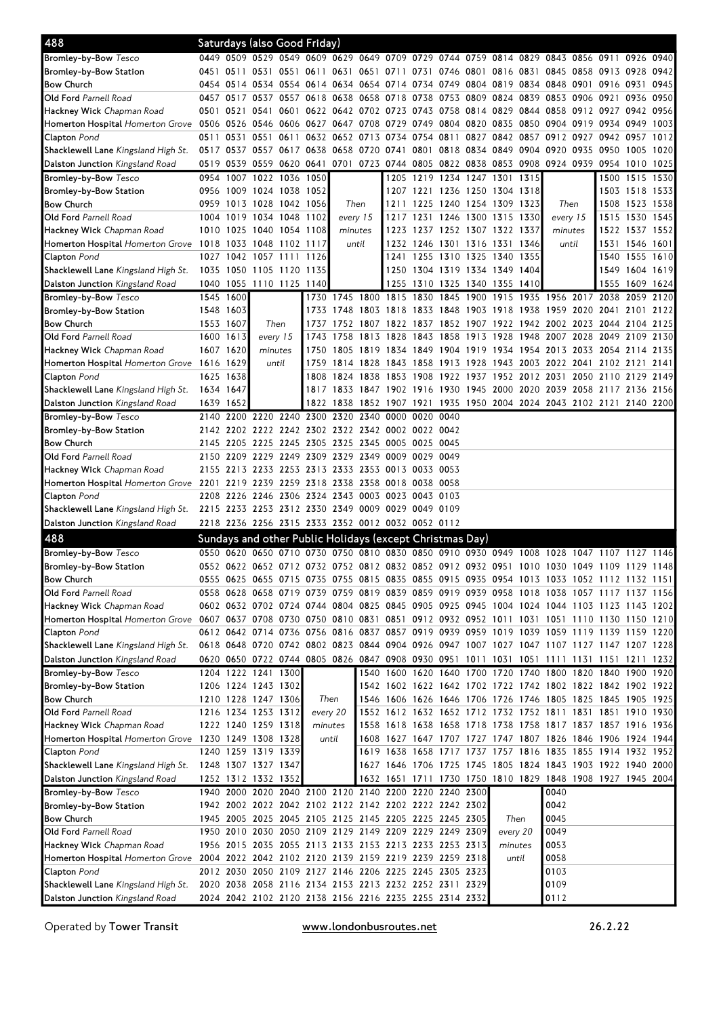| 488                                                                                                                                           |           |           | Saturdays (also Good Friday)               |           |                     |                |           |                                                          |           |                |      |                               |                |                                                                                                                            |                     |                     |                |      |
|-----------------------------------------------------------------------------------------------------------------------------------------------|-----------|-----------|--------------------------------------------|-----------|---------------------|----------------|-----------|----------------------------------------------------------|-----------|----------------|------|-------------------------------|----------------|----------------------------------------------------------------------------------------------------------------------------|---------------------|---------------------|----------------|------|
| <b>Bromley-by-Bow</b> Tesco                                                                                                                   |           |           |                                            |           |                     |                |           |                                                          |           |                |      |                               |                | 0449 0509 0529 0549 0609 0629 0649 0709 0729 0744 0759 0814 0829 0843 0856 0911 0926 0940                                  |                     |                     |                |      |
| Bromley-by-Bow Station                                                                                                                        |           |           | 0451 0511 0531 0551                        |           | 0611 0631           |                |           | 0651 0711 0731 0746 0801                                 |           |                |      |                               | 0816 0831      | 0845 0858 0913 0928                                                                                                        |                     |                     |                | 0942 |
| Bow Church                                                                                                                                    |           |           |                                            |           |                     |                |           |                                                          |           |                |      |                               |                | 0454 0514 0534 0554 0614 0634 0654 0714 0734 0749 0804 0819 0834 0848 0901 0916 0931                                       |                     |                     |                | 0945 |
| <b>Old Ford</b> Parnell Road                                                                                                                  |           | 0457 0517 |                                            | 0537 0557 | 0618 0638           |                |           | 0658 0718 0738                                           |           | 0753 0809      |      | 0824 0839                     |                | 0853                                                                                                                       | 0906 0921           |                     | 0936           | 0950 |
| <b>Hackney Wick</b> Chapman Road                                                                                                              | 0501 0521 |           | 0541                                       | 0601      |                     |                |           | 0622 0642 0702 0723 0743                                 |           |                |      |                               |                | 0758 0814 0829 0844 0858 0912 0927 0942 0956                                                                               |                     |                     |                |      |
| Homerton Hospital Homerton Grove 0506 0526                                                                                                    |           |           |                                            |           |                     |                |           | 0546 0606 0627 0647 0708 0729 0749                       |           |                |      |                               |                | 0804 0820 0835 0850 0904 0919 0934 0949                                                                                    |                     |                     |                | 1003 |
| <b>Clapton</b> Pond                                                                                                                           | 0511 0531 |           | 0551                                       | 0611      |                     | 0632 0652 0713 |           | 0734 0754                                                |           | 0811           | 0827 |                               |                | 0842 0857 0912 0927 0942 0957                                                                                              |                     |                     |                | 1012 |
| Shacklewell Lane Kingsland High St.                                                                                                           |           |           | 0517 0537 0557 0617 0638 0658 0720         |           |                     |                |           | 0741 0801                                                |           | 0818 0834      |      | 0849 0904                     |                | 0920                                                                                                                       | 0935 0950           |                     | 1005           | 1020 |
| Dalston Junction Kingsland Road                                                                                                               |           |           |                                            |           |                     |                |           | 0519 0539 0559 0620 0641 0701 0723 0744 0805             |           |                |      |                               |                | 0822 0838 0853 0908 0924 0939 0954 1010                                                                                    |                     |                     |                | 1025 |
| <b>Bromley-by-Bow</b> Tesco                                                                                                                   |           | 0954 1007 | 1022 1036 1050                             |           |                     |                |           |                                                          | 1205 1219 |                |      | 1234 1247 1301 1315           |                |                                                                                                                            |                     | 1500                | 1515           | 1530 |
| Bromley-by-Bow Station                                                                                                                        |           | 0956 1009 | 1024 1038 1052                             |           |                     |                |           |                                                          |           |                |      | 1207 1221 1236 1250 1304 1318 |                |                                                                                                                            |                     |                     | 1503 1518 1533 |      |
| Bow Church                                                                                                                                    |           | 0959 1013 | 1028 1042 1056                             |           |                     | Then           |           | 1211                                                     | 1225      | 1240 1254 1309 |      |                               | 1323           | Then                                                                                                                       |                     | 1508                | 1523 1538      |      |
| <b>Old Ford</b> Parnell Road                                                                                                                  |           | 1004 1019 | 1034 1048 1102                             |           |                     | every 15       |           |                                                          | 1217 1231 |                |      | 1246 1300 1315 1330           |                | every 15                                                                                                                   |                     | 1515                | 1530 1545      |      |
| <b>Hackney Wick</b> Chapman Road                                                                                                              |           | 1010 1025 | 1040 1054 1108                             |           |                     | minutes        |           |                                                          |           |                |      | 1223 1237 1252 1307 1322 1337 |                | minutes                                                                                                                    |                     |                     | 1522 1537 1552 |      |
| <b>Homerton Hospital</b> <i>Homerton Grove</i> 1018 1033                                                                                      |           |           | 1048 1102 1117                             |           |                     |                | until     |                                                          | 1232 1246 | 1301 1316 1331 |      |                               | 1346           | until                                                                                                                      |                     |                     | 1531 1546 1601 |      |
| Clapton Pond                                                                                                                                  |           |           | 1027 1042 1057 1111                        |           | 1126                |                |           |                                                          | 1241 1255 |                |      | 1310 1325 1340 1355           |                |                                                                                                                            |                     | 1540                | 1555 1610      |      |
| <b>Shacklewell Lane</b> Kingsland High St.                                                                                                    | 1035 1050 |           | 1105 1120 1135                             |           |                     |                |           |                                                          |           |                |      | 1250 1304 1319 1334 1349 1404 |                |                                                                                                                            |                     | 1549                | 1604 1619      |      |
| Dalston Junction Kingsland Road                                                                                                               |           |           | 1040 1055 1110 1125 1140                   |           |                     |                |           |                                                          |           |                |      | 1255 1310 1325 1340 1355 1410 |                |                                                                                                                            |                     | 1555                | 1609           | 1624 |
| <b>Bromley-by-Bow</b> Tesco                                                                                                                   | 1545 1600 |           |                                            |           |                     | 1730 1745 1800 |           | 1815 1830                                                |           | 1845           | 1900 | 1915                          | 1935           | 1956 2017                                                                                                                  |                     | 2038                | 2059           | 2120 |
| Bromley-by-Bow Station                                                                                                                        | 1548 1603 |           |                                            |           | 1733                | 1748 1803      |           | 1818 1833                                                |           | 1848           |      | 1903 1918 1938                |                | 1959 2020 2041 2101                                                                                                        |                     |                     |                | 2122 |
| Bow Church                                                                                                                                    | 1553 1607 |           | Then                                       |           | 1737                | 1752 1807      |           | 1822 1837                                                |           | 1852 1907      |      | 1922                          | 1942           | 2002 2023 2044 2104                                                                                                        |                     |                     |                | 2125 |
| <b>Old Ford</b> Parnell Road                                                                                                                  | 1600 1613 |           | every 15                                   |           | 1743                | 1758           | 1813      | 1828                                                     | 1843      | 1858           | 1913 | 1928                          | 1948           | 2007                                                                                                                       | 2028 2049           |                     | 2109           | 2130 |
| <b>Hackney Wick</b> Chapman Road                                                                                                              |           | 1607 1620 | minutes                                    |           | 1750                | 1805           | 1819      | 1834 1849                                                |           | 1904           | 1919 | 1934                          | 1954           | 2013                                                                                                                       | 2033 2054 2114      |                     |                | 2135 |
| Homerton Hospital Homerton Grove 1616 1629                                                                                                    |           |           | until                                      |           | 1759                |                | 1814 1828 | 1843 1858                                                |           |                |      | 1913 1928 1943 2003           |                | 2022 2041 2102 2121                                                                                                        |                     |                     |                | 2141 |
| <b>Clapton</b> Pond                                                                                                                           |           | 1625 1638 |                                            |           | 1808                | 1824 1838      |           | 1853 1908                                                |           | 1922 1937      |      |                               | 1952 2012 2031 |                                                                                                                            |                     | 2050 2110 2129 2149 |                |      |
| <b>Shacklewell Lane</b> Kingsland High St.                                                                                                    | 1634 1647 |           |                                            |           |                     | 1817 1833 1847 |           | 1902 1916                                                |           | 1930           |      | 1945 2000 2020 2039           |                |                                                                                                                            | 2058 2117 2136 2156 |                     |                |      |
| <b>Dalston Junction</b> Kingsland Road                                                                                                        | 1639 1652 |           |                                            |           |                     | 1822 1838      | 1852      | 1907 1921                                                |           | 1935           |      |                               |                | 1950 2004 2024 2043 2102 2121 2140 2200                                                                                    |                     |                     |                |      |
| <b>Bromley-by-Bow</b> Tesco                                                                                                                   |           | 2140 2200 | 2220                                       |           | 2240 2300 2320 2340 |                |           | 0000 0020                                                |           | 0040           |      |                               |                |                                                                                                                            |                     |                     |                |      |
| Bromley-by-Bow Station                                                                                                                        |           |           |                                            |           |                     |                |           | 2142 2202 2222 2242 2302 2322 2342 0002 0022 0042        |           |                |      |                               |                |                                                                                                                            |                     |                     |                |      |
| Bow Church                                                                                                                                    |           |           | 2145 2205 2225 2245 2305 2325              |           |                     |                |           | 2345 0005 0025 0045                                      |           |                |      |                               |                |                                                                                                                            |                     |                     |                |      |
| <b>Old Ford</b> Parnell Road                                                                                                                  |           |           | 2150 2209 2229 2249 2309 2329 2349         |           |                     |                |           | 0009 0029                                                |           | 0049           |      |                               |                |                                                                                                                            |                     |                     |                |      |
| <b>Hackney Wick</b> Chapman Road                                                                                                              |           |           |                                            |           |                     |                |           | 2155 2213 2233 2253 2313 2333 2353 0013 0033 0053        |           |                |      |                               |                |                                                                                                                            |                     |                     |                |      |
| Homerton Hospital Homerton Grove 2201 2219                                                                                                    |           |           |                                            |           |                     |                |           | 2239 2259 2318 2338 2358 0018 0038 0058                  |           |                |      |                               |                |                                                                                                                            |                     |                     |                |      |
| Clapton Pond                                                                                                                                  |           | 2208 2226 |                                            |           |                     |                |           | 2246 2306 2324 2343 0003 0023 0043                       |           | 0103           |      |                               |                |                                                                                                                            |                     |                     |                |      |
| Shacklewell Lane Kingsland High St.                                                                                                           |           |           |                                            |           |                     |                |           | 2215 2233 2253 2312 2330 2349 0009 0029 0049 0109        |           |                |      |                               |                |                                                                                                                            |                     |                     |                |      |
| Dalston Junction Kingsland Road                                                                                                               |           |           |                                            |           |                     |                |           | 2218 2236 2256 2315 2333 2352 0012 0032 0052 0112        |           |                |      |                               |                |                                                                                                                            |                     |                     |                |      |
| 488                                                                                                                                           |           |           |                                            |           |                     |                |           | Sundays and other Public Holidays (except Christmas Day) |           |                |      |                               |                |                                                                                                                            |                     |                     |                |      |
| <b>Bromley-by-Bow</b> Tesco                                                                                                                   |           | 0550 0620 | 0650 0710 0730                             |           |                     |                |           | 0750 0810 0830 0850 0910 0930 0949 1008                  |           |                |      |                               |                | 1028                                                                                                                       | 1047 1107 1127      |                     |                | 1146 |
| Bromley-by-Bow Station                                                                                                                        |           |           |                                            |           |                     |                |           |                                                          |           |                |      |                               |                | 0552 0622 0652 0712 0732 0752 0812 0832 0852 0912 0932 0951 1010 1030 1049 1109 1129 1148                                  |                     |                     |                |      |
| <b>Bow Church</b>                                                                                                                             |           |           |                                            |           |                     |                |           |                                                          |           |                |      |                               |                | 0555 0625 0655 0715 0735 0755 0815 0835 0855 0915 0935 0954 1013 1033 1052 1112 1132 1151                                  |                     |                     |                |      |
| Old Ford Parnell Road                                                                                                                         |           |           |                                            |           |                     |                |           |                                                          |           |                |      |                               |                | 0558 0628 0658 0719 0739 0759 0819 0839 0859 0919 0939 0958 1018 1038 1057 1117 1137 1156                                  |                     |                     |                |      |
| Hackney Wick Chapman Road                                                                                                                     |           |           |                                            |           |                     |                |           |                                                          |           |                |      |                               |                | 0602 0632 0702 0724 0744 0804 0825 0845 0905 0925 0945 1004 1024 1044 1103 1123 1143 1202                                  |                     |                     |                |      |
| Homerton Hospital <i>Homerton Grove 10607 10637 10708 107</i> 30 10750 10810 10831 10851 10912 10932 10952 1011 1031 1051 1110 1130 1150 1210 |           |           |                                            |           |                     |                |           |                                                          |           |                |      |                               |                |                                                                                                                            |                     |                     |                |      |
| Clapton Pond                                                                                                                                  |           |           |                                            |           |                     |                |           |                                                          |           |                |      |                               |                | 0612 0642 0714 0736 0756 0816 0837 0857 0919 0939 0959 1019 1039 1059 1119 1139 1159 1220                                  |                     |                     |                |      |
| <b>Shacklewell Lane</b> Kingsland High St.                                                                                                    |           |           |                                            |           |                     |                |           |                                                          |           |                |      |                               |                | 0618 0648 0720 0742 0802 0823 0844 0904 0926 0947 1007 1027 1047 1107 1127 1147 1207 1228                                  |                     |                     |                |      |
| <b>Dalston Junction</b> Kingsland Road                                                                                                        |           |           |                                            |           |                     |                |           |                                                          |           |                |      |                               |                | 0620 0650 0722 0744 0805 0826 0847 0908 0930 0951 1011 1031 1051 1111 1131 1151 1211 1232                                  |                     |                     |                |      |
| <b>Bromley-by-Bow</b> Tesco                                                                                                                   |           |           | 1204 1222 1241 1300                        |           |                     |                |           |                                                          |           |                |      |                               |                | 1540 1600 1620 1640 1700 1720 1740 1800 1820 1840 1900 1920                                                                |                     |                     |                |      |
| Bromley-by-Bow Station                                                                                                                        |           |           | 1206 1224 1243 1302                        |           |                     |                |           |                                                          |           |                |      |                               |                | 1542 1602 1622 1642 1702 1722 1742 1802 1822 1842 1902 1922                                                                |                     |                     |                |      |
| Bow Church<br>Old Ford Parnell Road                                                                                                           |           |           | 1210 1228 1247 1306<br>1216 1234 1253 1312 |           | Then                |                |           |                                                          |           |                |      |                               |                | 1546 1606 1626 1646 1706 1726 1746 1805 1825 1845 1905 1925                                                                |                     |                     |                |      |
|                                                                                                                                               |           |           |                                            |           | every 20<br>minutes |                |           |                                                          |           |                |      |                               |                | 1552 1612 1632 1652 1712 1732 1752 1811 1831 1851 1910 1930                                                                |                     |                     |                |      |
| Hackney Wick Chapman Road<br>Homerton Hospital Homerton Grove 1230 1249 1308 1328                                                             |           |           | 1222 1240 1259 1318                        |           | until               |                |           |                                                          |           |                |      |                               |                | 1558 1618 1638 1658 1718 1738 1758 1817 1837 1857 1916 1936<br>1608 1627 1647 1707 1727 1747 1807 1826 1846 1906 1924 1944 |                     |                     |                |      |
|                                                                                                                                               |           |           | 1240 1259 1319 1339                        |           |                     |                |           |                                                          |           |                |      |                               |                | 1619 1638 1658 1717 1737 1757 1816 1835 1855 1914 1932 1952                                                                |                     |                     |                |      |
| <b>Clapton</b> Pond<br>Shacklewell Lane Kingsland High St.                                                                                    |           |           | 1248 1307 1327 1347                        |           |                     |                |           |                                                          |           |                |      |                               |                | 1627 1646 1706 1725 1745 1805 1824 1843 1903 1922 1940 2000                                                                |                     |                     |                |      |
| <b>Dalston Junction</b> Kingsland Road                                                                                                        |           |           | 1252 1312 1332 1352                        |           |                     |                |           |                                                          |           |                |      |                               |                | 1632 1651 1711 1730 1750 1810 1829 1848 1908 1927 1945 2004                                                                |                     |                     |                |      |
| <b>Bromley-by-Bow</b> Tesco                                                                                                                   |           |           |                                            |           |                     |                |           | 1940 2000 2020 2040 2100 2120 2140 2200 2220 2240 2300   |           |                |      |                               |                | 0040                                                                                                                       |                     |                     |                |      |
| Bromley-by-Bow Station                                                                                                                        |           |           |                                            |           |                     |                |           | 1942 2002 2022 2042 2102 2122 2142 2202 2222 2242 2302   |           |                |      |                               |                | 0042                                                                                                                       |                     |                     |                |      |
| Bow Church                                                                                                                                    |           |           |                                            |           |                     |                |           | 1945 2005 2025 2045 2105 2125 2145 2205 2225 2245 2305   |           |                |      | Then                          |                | 0045                                                                                                                       |                     |                     |                |      |
| Old Ford Parnell Road                                                                                                                         |           |           |                                            |           |                     |                |           | 1950 2010 2030 2050 2109 2129 2149 2209 2229 2249 2309   |           |                |      | every 20                      |                | 0049                                                                                                                       |                     |                     |                |      |
| Hackney Wick Chapman Road                                                                                                                     |           |           |                                            |           |                     |                |           | 1956 2015 2035 2055 2113 2133 2153 2213 2233 2253 2313   |           |                |      | minutes                       |                | 0053                                                                                                                       |                     |                     |                |      |
| Homerton Hospital Homerton Grove 2004 2022 2042 2102 2120 2139 2159 2219 2239 2259 2318                                                       |           |           |                                            |           |                     |                |           |                                                          |           |                |      |                               | until          | 0058                                                                                                                       |                     |                     |                |      |
| <b>Clapton</b> Pond                                                                                                                           |           |           |                                            |           |                     |                |           | 2012 2030 2050 2109 2127 2146 2206 2225 2245 2305 2323   |           |                |      |                               |                | 0103                                                                                                                       |                     |                     |                |      |
| Shacklewell Lane Kingsland High St.                                                                                                           |           |           |                                            |           |                     |                |           | 2020 2038 2058 2116 2134 2153 2213 2232 2252 2311 2329   |           |                |      |                               |                | 0109                                                                                                                       |                     |                     |                |      |
| <b>Dalston Junction</b> Kingsland Road                                                                                                        |           |           |                                            |           |                     |                |           | 2024 2042 2102 2120 2138 2156 2216 2235 2255 2314 2332   |           |                |      |                               |                | 0112                                                                                                                       |                     |                     |                |      |
|                                                                                                                                               |           |           |                                            |           |                     |                |           |                                                          |           |                |      |                               |                |                                                                                                                            |                     |                     |                |      |

Operated by Tower Transit **WWW.Londonbusroutes.net** 26.2.22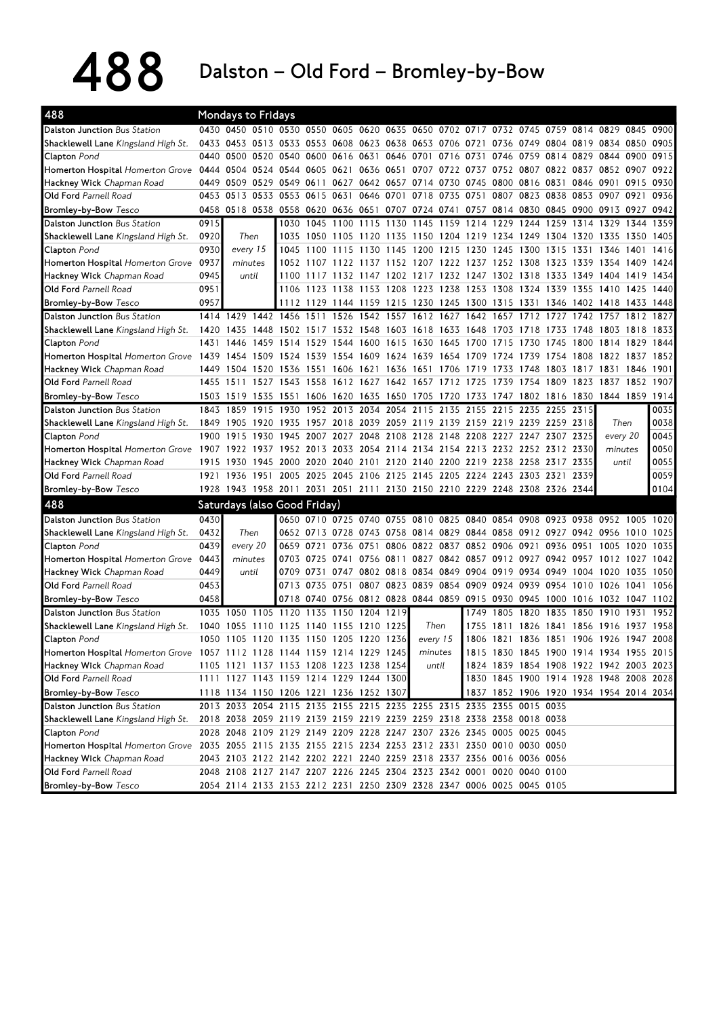488 Dalston – Old Ford – Bromley-by-Bow

| 488                                                                                                    |      | <b>Mondays to Fridays</b>                                                                 |      |           |                   |                     |                |           |                                                        |           |                |                                            |                |                     |                     |              |              |              |
|--------------------------------------------------------------------------------------------------------|------|-------------------------------------------------------------------------------------------|------|-----------|-------------------|---------------------|----------------|-----------|--------------------------------------------------------|-----------|----------------|--------------------------------------------|----------------|---------------------|---------------------|--------------|--------------|--------------|
| Dalston Junction Bus Station                                                                           |      | 0430 0450 0510 0530 0550 0605 0620 0635 0650 0702 0717 0732 0745 0759 0814 0829 0845 0900 |      |           |                   |                     |                |           |                                                        |           |                |                                            |                |                     |                     |              |              |              |
| Shacklewell Lane Kingsland High St.                                                                    | 0433 |                                                                                           |      |           |                   |                     |                |           | 0453 0513 0533 0553 0608 0623 0638 0653 0706 0721 0736 |           |                |                                            | 0749           | 0804 0819 0834 0850 |                     |              |              | 0905         |
| Clapton Pond                                                                                           | 0440 | 0500                                                                                      | 0520 | 0540      | 0600              | 0616 0631           |                |           | 0646 0701                                              | 0716      | 0731           | 0746                                       | 0759           | 0814                | 0829                | 0844         | 0900         | 0915         |
| <b>Homerton Hospital</b> <i>Homerton Grove</i>                                                         | 0444 | 0504                                                                                      | 0524 | 0544      | 0605              | 0621                | 0636 0651      |           | 0707                                                   | 0722      | 0737           | 0752                                       | 0807           | 0822                | 0837 0852           |              | 0907         | 0922         |
| Hackney Wick Chapman Road                                                                              | 0449 | 0509                                                                                      | 0529 | 0549      | 0611              | 0627                | 0642 0657 0714 |           |                                                        | 0730      | 0745           | 0800                                       | 0816           | 0831                | 0846 0901           |              | 0915         | 0930         |
| <b>Old Ford Parnell Road</b>                                                                           | 0453 | 0513 0533 0553 0615                                                                       |      |           |                   | 0631                |                |           | 0646 0701 0718                                         | 0735 0751 |                | 0807                                       | 0823 0838      |                     | 0853 0907           |              | 0921         | 0936         |
| <b>Bromley-by-Bow</b> Tesco                                                                            | 0458 |                                                                                           |      |           |                   |                     |                |           | 0518 0538 0558 0620 0636 0651 0707 0724 0741 0757      |           |                | 0814                                       | 0830 0845      |                     | 0900 0913 0927 0942 |              |              |              |
| <b>Dalston Junction Bus Station</b>                                                                    | 0915 |                                                                                           |      | 1030      | 1045              | 1100                | 1115           | 1130      | 1145                                                   | 1159      | 1214           | 1229                                       | 1244           | 1259                | 1314                | 1329         | 1344         | 1359         |
| Shacklewell Lane Kingsland High St.                                                                    | 0920 | Then                                                                                      |      | 1035      | 1050              | 1105                | 1120           | 1135      | 1150                                                   | 1204 1219 |                | 1234                                       | 1249           | 1304                | 1320                | 1335         | 1350         | 1405         |
| Clapton Pond                                                                                           | 0930 | every 15                                                                                  |      | 1045      | 1100              | 1115                | 1130           | 1145      | 1200                                                   | 1215      | 1230           | 1245                                       | 1300           | 1315                | 1331                | 1346         | 1401         | 1416         |
| Homerton Hospital Homerton Grove                                                                       | 0937 | minutes                                                                                   |      | 1052      | 1107              | -11<br>22           | 1157           | 1152 1207 |                                                        |           | 1222 1237      | 1252                                       | 1308           | 1323                | 1339                | 1354         | 1409         | 1424         |
| Hackney Wick Chapman Road                                                                              | 0945 | until                                                                                     |      | 1100      | 1117              |                     |                |           | 1132 1147 1202 1217 1232 1247                          |           |                | 1302 1318                                  |                | 1333                | 1349                | 1404         | 1419         | 1434         |
| <b>Old Ford Parnell Road</b>                                                                           | 0951 |                                                                                           |      |           |                   |                     |                |           | 1106 1123 1138 1153 1208 1223 1238 1253 1308           |           |                |                                            | 1324 1339 1355 |                     |                     | 1410 1425    |              | 1440         |
| <b>Bromley-by-Bow</b> Tesco                                                                            | 0957 |                                                                                           |      |           | 1112 1129         |                     |                |           | 1144 1159 1215 1230 1245 1300 1315                     |           |                |                                            | 1331           | 1346 1402 1418 1433 |                     |              |              | 1448         |
| <b>Dalston Junction Bus Station</b>                                                                    |      | 1414 1429                                                                                 | 1442 | 1456      | 1511              | 1526                | 1542           | 1557      | 1612                                                   | 1627      | 1642           | 1657                                       | 1712           | 1727                | 1742                | 1757         | 1812         | 1827         |
| Shacklewell Lane Kingsland High St.                                                                    | 1420 | 1435                                                                                      | 1448 | 1502      | 1517              | 1532                | 1548           | 1603      | 1618                                                   | 1633      | 1648           | 1703                                       | 1718           | 1733                | 1748                | 1803         | 1818         | 1833         |
| Clapton Pond                                                                                           | 1431 | 1446                                                                                      | 1459 | 1514      | 1529              | 1544                | 1600           | 1615      | 1630                                                   | 1645      | 1700           | 1715                                       | 1730           | 1745                | 1800                | 1814         | 1829         | 1844         |
| Homerton Hospital Homerton Grove 1439                                                                  |      | 1454                                                                                      |      | 1509 1524 | 1539              | 1554 1609 1624 1639 |                |           |                                                        |           | 1654 1709      | 1724                                       | 1739           | 1754 1808 1822      |                     |              | 1837         | 1852         |
| <b>Hackney Wick</b> Chapman Road                                                                       | 1449 | 1504                                                                                      | 1520 | 1536      | 1551              | 1606                | 1621           | 1636      | 1651                                                   | 1706      | 1719           | 1733                                       | 1748           | 1803                | 1817                | 1831         | 1846         | 1901         |
| <b>Old Ford Parnell Road</b>                                                                           |      | 1455 1511                                                                                 |      | 1527 1543 | 1558              |                     |                |           | 1612 1627 1642 1657 1712 1725                          |           |                | 1739                                       | 1754           | 1809                | 1823                | 1837         | 1852         | 1907         |
| <b>Bromley-by-Bow Tesco</b>                                                                            |      | 1503 1519                                                                                 | 1535 | 1551      | 1606              | 1620                | 1635           | 1650      | 1705                                                   | 1720      | 1733           | 1747                                       | 1802           | 1816                | 1830                | 1844 1859    |              | 1914         |
| <b>Dalston Junction Bus Station</b>                                                                    | 1843 | 1859                                                                                      | 1915 | 1930      |                   | 1952 2013 2034      |                |           | 2054 2115                                              | 2135      | 2155           | 2215                                       | 2235           | 2255 2315           |                     |              |              | 0035         |
| Shacklewell Lane Kingsland High St.                                                                    | 1849 | 1905                                                                                      | 1920 | 1935      | 1957              | 2018                | 2039 2059      |           | 2119                                                   |           | 2139 2159 2219 |                                            |                | 2239 2259 2318      |                     | Then         |              | 0038         |
| Clapton Pond                                                                                           | 1900 | 1915                                                                                      | 1930 | 1945      | 2007              | 2027                | 2048           | 2108 2128 |                                                        | 2148      | 2208           | 2227                                       | 2247           | 2307                | 2325                | every 20     |              | 0045         |
| Homerton Hospital Homerton Grove 1907 1922                                                             |      |                                                                                           | 1937 | 1952      | 2013              | 2033                |                |           | 2054 2114 2134 2154 2213 2232 2252 2312 2330           |           |                |                                            |                |                     |                     | minutes      |              | 0050         |
| Hackney Wick Chapman Road                                                                              | 1915 | 1930                                                                                      | 1945 | 2000      | 2020              | 2040                |                |           | 2101 2120 2140 2200 2219 2238                          |           |                |                                            | 2258           | 2317 2335           |                     | until        |              | 0055         |
| <b>Old Ford Parnell Road</b>                                                                           | 1921 | 1936                                                                                      | 1951 | 2005      | 2025              | 2045 2106 2125 2145 |                |           |                                                        |           | 2205 2224 2243 |                                            | 2303 2321      |                     | 2339                |              |              | 0059         |
| <b>Bromley-by-Bow</b> Tesco                                                                            |      | 1928 1943 1958 2011 2031 2051 2111 2130 2150 2210 2229 2248 2308 2326 2344                |      |           |                   |                     |                |           |                                                        |           |                |                                            |                |                     |                     |              |              | 0104         |
| 488                                                                                                    |      | Saturdays (also Good Friday)                                                              |      |           |                   |                     |                |           |                                                        |           |                |                                            |                |                     |                     |              |              |              |
|                                                                                                        | 0430 |                                                                                           |      |           |                   |                     |                |           | 0650 0710 0725 0740 0755 0810 0825                     |           |                | 0840 0854 0908 0923 0938 0952              |                |                     |                     |              |              |              |
| <b>Dalston Junction Bus Station</b>                                                                    | 0432 |                                                                                           |      |           |                   |                     |                |           |                                                        |           |                |                                            |                |                     |                     |              | 1005         | 1020         |
| Shacklewell Lane Kingsland High St.<br>Clapton Pond                                                    | 0439 | Then                                                                                      |      | 0659      | 0652 0713<br>0721 | 0728<br>0736        | 0751           | 0806      | 0743 0758 0814 0829 0844 0858<br>0822                  | 0837      |                | 0852 0906                                  | 0912 0927      | 0936                | 0942 0956<br>0951   |              | 1010         | 1025<br>1035 |
|                                                                                                        | 0443 | every 20                                                                                  |      | 0703      | 0725              | 0741                | 0756 0811      |           |                                                        |           | 0827 0842 0857 | 0912                                       | 0921<br>0927   | 0942                | 0957                | 1005<br>1012 | 1020<br>1027 | 1042         |
| <b>Homerton Hospital Homerton Grove</b>                                                                | 0449 | minutes<br>until                                                                          |      | 0709      | 0731              | 0747                | 0802 0818      |           | 0834                                                   | 0849      | 0904 0919      |                                            | 0934           | 0949                | 1004                | 1020         | 1035         | 1050         |
| Hackney Wick Chapman Road<br>Old Ford Parnell Road                                                     | 0453 |                                                                                           |      | 0713      | 0735              | 0751                | 0807           | 0823 0839 |                                                        | 0854      |                | 0909 0924                                  | 0939           | 0954                | 1010                | 1026         | 1041         | 1056         |
| Bromley-by-Bow Tesco                                                                                   | 0458 |                                                                                           |      | 0718      | 0740              |                     |                |           | 0756 0812 0828 0844 0859 0915 0930                     |           |                |                                            | 0945           |                     | 1000 1016           | 1032         | 1047         | 1102         |
|                                                                                                        |      |                                                                                           |      |           |                   |                     |                |           |                                                        |           |                |                                            |                |                     |                     |              |              |              |
| <b>Dalston Junction Bus Station</b>                                                                    | 1035 | 1050                                                                                      | 1105 | 1120 1135 |                   | 1150                | 1204 1219      |           |                                                        |           | 1749           | 1805                                       | 1820           | 1835                | 1850 1910           |              | 1931         | 1952         |
| Shacklewell Lane Kingsland High St.                                                                    | 1040 | 1055<br>1050 1105 1120 1135 1150 1205 1220 1236                                           | 1110 | 1125      | 1140              | 1155                | 1210           | 1225      | Then                                                   |           | 1755           | 1811<br>1806 1821 1836 1851 1906 1926 1947 | 1826           | 1841                | 1856                | 1916         | 1937         | 1958         |
| Clapton Pond                                                                                           |      |                                                                                           |      |           |                   |                     |                |           | every 15                                               |           |                |                                            |                |                     |                     |              |              | 2008         |
| Homerton Hospital Homerton Grove 1057 1112 1128 1144 1159 1214 1229 1245                               |      |                                                                                           |      |           |                   |                     |                |           | minutes                                                |           |                | 1815 1830 1845 1900 1914 1934 1955 2015    |                |                     |                     |              |              |              |
| Hackney Wick Chapman Road                                                                              |      | 1105 1121 1137 1153 1208 1223 1238 1254                                                   |      |           |                   |                     |                |           |                                                        | until     |                | 1824 1839 1854 1908 1922 1942 2003 2023    |                |                     |                     |              |              |              |
| Old Ford Parnell Road                                                                                  |      | 1111 1127 1143 1159 1214 1229 1244 1300                                                   |      |           |                   |                     |                |           |                                                        |           |                | 1830 1845 1900 1914 1928 1948 2008 2028    |                |                     |                     |              |              |              |
| Bromley-by-Bow Tesco                                                                                   |      | 1118 1134 1150 1206 1221 1236 1252 1307                                                   |      |           |                   |                     |                |           |                                                        |           |                | 1837 1852 1906 1920 1934 1954 2014 2034    |                |                     |                     |              |              |              |
| Dalston Junction Bus Station                                                                           |      | 2013 2033 2054 2115 2135 2155 2215 2235 2255 2315 2335 2355 0015 0035                     |      |           |                   |                     |                |           |                                                        |           |                |                                            |                |                     |                     |              |              |              |
| Shacklewell Lane Kingsland High St.                                                                    |      | 2018 2038 2059 2119 2139 2159 2219 2239 2259 2318 2338 2358 0018 0038                     |      |           |                   |                     |                |           |                                                        |           |                |                                            |                |                     |                     |              |              |              |
| Clapton Pond                                                                                           |      | 2028 2048 2109 2129 2149 2209 2228 2247 2307 2326 2345 0005 0025 0045                     |      |           |                   |                     |                |           |                                                        |           |                |                                            |                |                     |                     |              |              |              |
| Homerton Hospital Homerton Grove 2035 2055 2115 2135 2155 2215 2234 2253 2312 2331 2350 0010 0030 0050 |      |                                                                                           |      |           |                   |                     |                |           |                                                        |           |                |                                            |                |                     |                     |              |              |              |
| Hackney Wick Chapman Road                                                                              |      | 2043 2103 2122 2142 2202 2221 2240 2259 2318 2337 2356 0016 0036 0056                     |      |           |                   |                     |                |           |                                                        |           |                |                                            |                |                     |                     |              |              |              |
| Old Ford Parnell Road                                                                                  |      | 2048 2108 2127 2147 2207 2226 2245 2304 2323 2342 0001 0020 0040 0100                     |      |           |                   |                     |                |           |                                                        |           |                |                                            |                |                     |                     |              |              |              |
| <b>Bromley-by-Bow Tesco</b>                                                                            |      | 2054 2114 2133 2153 2212 2231 2250 2309 2328 2347 0006 0025 0045 0105                     |      |           |                   |                     |                |           |                                                        |           |                |                                            |                |                     |                     |              |              |              |